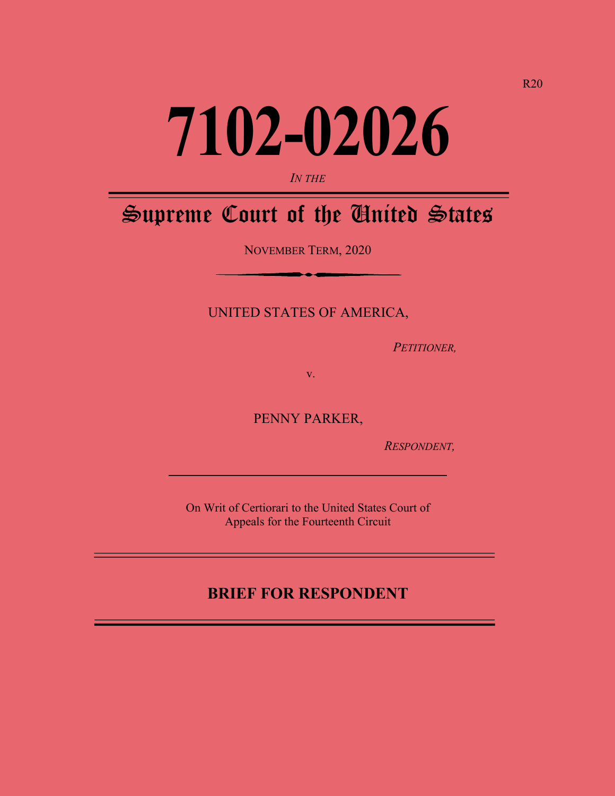# **7102-02026**

#### *IN THE*

## Supreme Court of the United States

NOVEMBER TERM, 2020

UNITED STATES OF AMERICA,

 *PETITIONER,*

v.

PENNY PARKER,

 *RESPONDENT,*

On Writ of Certiorari to the United States Court of Appeals for the Fourteenth Circuit

## **BRIEF FOR RESPONDENT**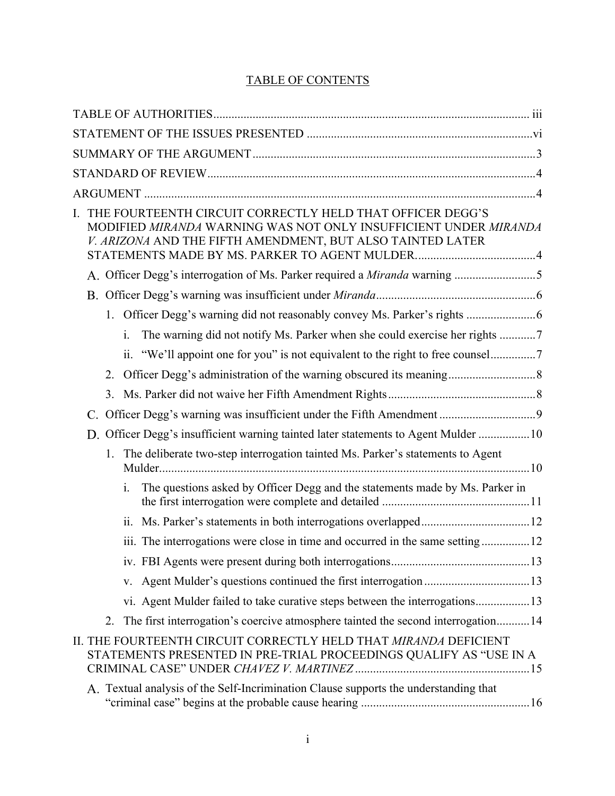## TABLE OF CONTENTS

| L. |    |                | THE FOURTEENTH CIRCUIT CORRECTLY HELD THAT OFFICER DEGG'S<br>MODIFIED MIRANDA WARNING WAS NOT ONLY INSUFFICIENT UNDER MIRANDA<br>V. ARIZONA AND THE FIFTH AMENDMENT, BUT ALSO TAINTED LATER |  |
|----|----|----------------|---------------------------------------------------------------------------------------------------------------------------------------------------------------------------------------------|--|
|    |    |                | A. Officer Degg's interrogation of Ms. Parker required a Miranda warning 5                                                                                                                  |  |
|    |    |                |                                                                                                                                                                                             |  |
|    |    |                | 1. Officer Degg's warning did not reasonably convey Ms. Parker's rights                                                                                                                     |  |
|    |    | $\mathbf{i}$ . | The warning did not notify Ms. Parker when she could exercise her rights 7                                                                                                                  |  |
|    |    |                | ii. "We'll appoint one for you" is not equivalent to the right to free counsel7                                                                                                             |  |
|    |    |                |                                                                                                                                                                                             |  |
|    | 3. |                |                                                                                                                                                                                             |  |
|    |    |                |                                                                                                                                                                                             |  |
|    |    |                | D. Officer Degg's insufficient warning tainted later statements to Agent Mulder 10                                                                                                          |  |
|    | 1. |                | The deliberate two-step interrogation tainted Ms. Parker's statements to Agent                                                                                                              |  |
|    |    | i.             | The questions asked by Officer Degg and the statements made by Ms. Parker in                                                                                                                |  |
|    |    | 11.            |                                                                                                                                                                                             |  |
|    |    |                | iii. The interrogations were close in time and occurred in the same setting12                                                                                                               |  |
|    |    |                |                                                                                                                                                                                             |  |
|    |    |                |                                                                                                                                                                                             |  |
|    |    |                | vi. Agent Mulder failed to take curative steps between the interrogations13                                                                                                                 |  |
|    | 2. |                | The first interrogation's coercive atmosphere tainted the second interrogation14                                                                                                            |  |
|    |    |                | II. THE FOURTEENTH CIRCUIT CORRECTLY HELD THAT MIRANDA DEFICIENT<br>STATEMENTS PRESENTED IN PRE-TRIAL PROCEEDINGS QUALIFY AS "USE IN A                                                      |  |
|    |    |                | A. Textual analysis of the Self-Incrimination Clause supports the understanding that                                                                                                        |  |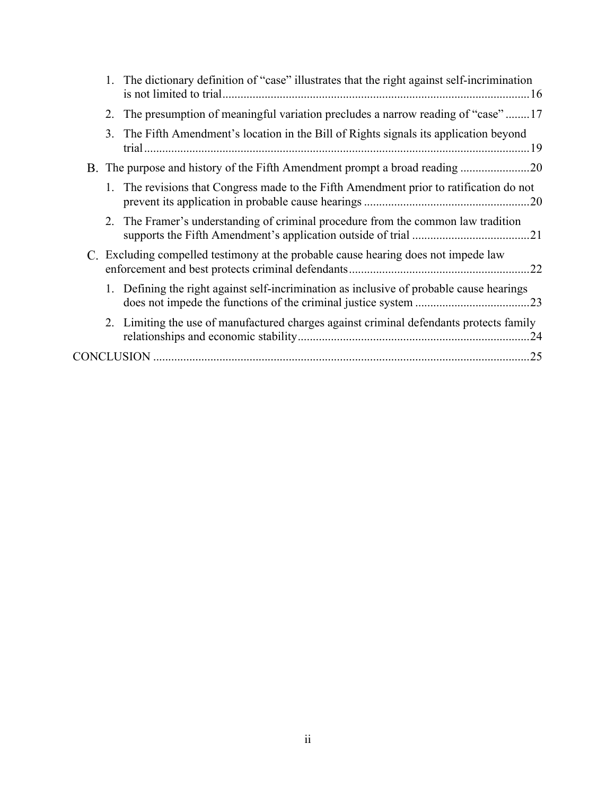|  | 1. The dictionary definition of "case" illustrates that the right against self-incrimination |
|--|----------------------------------------------------------------------------------------------|
|  | 2. The presumption of meaningful variation precludes a narrow reading of "case"17            |
|  | 3. The Fifth Amendment's location in the Bill of Rights signals its application beyond       |
|  | B. The purpose and history of the Fifth Amendment prompt a broad reading 20                  |
|  | 1. The revisions that Congress made to the Fifth Amendment prior to ratification do not      |
|  | 2. The Framer's understanding of criminal procedure from the common law tradition            |
|  | C. Excluding compelled testimony at the probable cause hearing does not impede law           |
|  | 1. Defining the right against self-incrimination as inclusive of probable cause hearings     |
|  | 2. Limiting the use of manufactured charges against criminal defendants protects family      |
|  |                                                                                              |
|  |                                                                                              |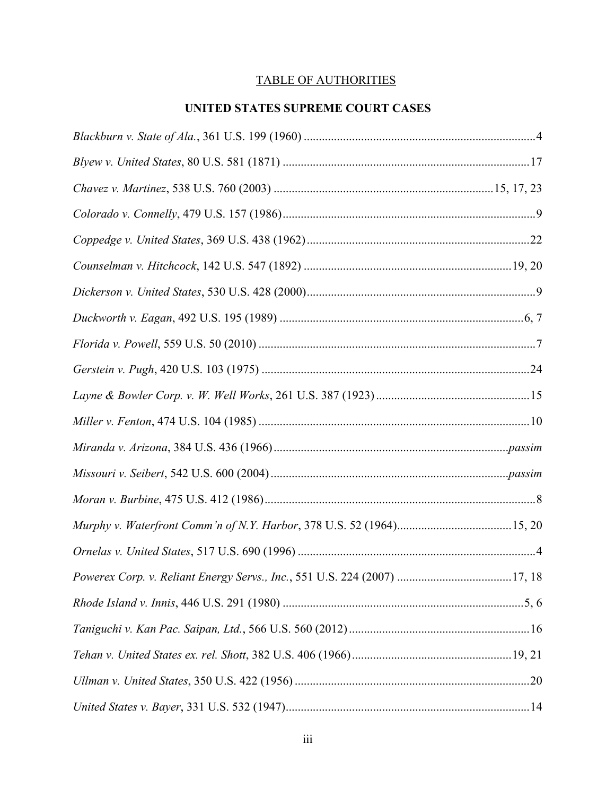## TABLE OF AUTHORITIES

## **UNITED STATES SUPREME COURT CASES**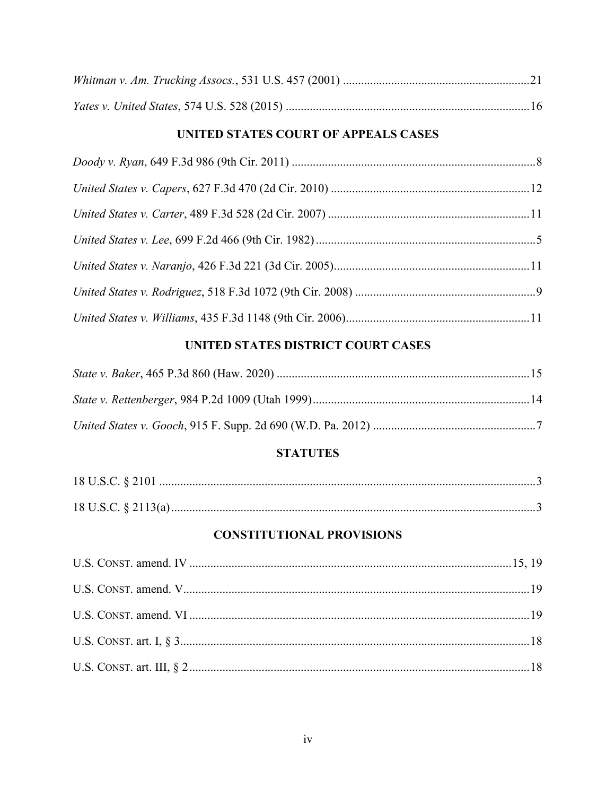### UNITED STATES COURT OF APPEALS CASES

## UNITED STATES DISTRICT COURT CASES

## **STATUTES**

## **CONSTITUTIONAL PROVISIONS**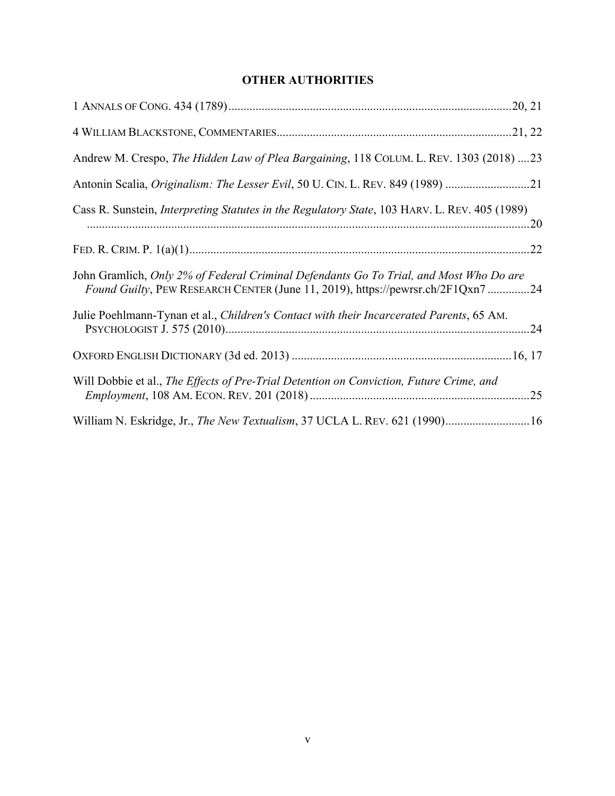## **OTHER AUTHORITIES**

| Andrew M. Crespo, The Hidden Law of Plea Bargaining, 118 COLUM. L. REV. 1303 (2018) 23                                                                                   |
|--------------------------------------------------------------------------------------------------------------------------------------------------------------------------|
| Antonin Scalia, Originalism: The Lesser Evil, 50 U. CIN. L. REV. 849 (1989) 21                                                                                           |
| Cass R. Sunstein, <i>Interpreting Statutes in the Regulatory State</i> , 103 HARV. L. REV. 405 (1989)                                                                    |
|                                                                                                                                                                          |
| John Gramlich, Only 2% of Federal Criminal Defendants Go To Trial, and Most Who Do are<br>Found Guilty, PEW RESEARCH CENTER (June 11, 2019), https://pewrsr.ch/2F1Qxn724 |
| Julie Poehlmann-Tynan et al., Children's Contact with their Incarcerated Parents, 65 AM.                                                                                 |
|                                                                                                                                                                          |
| Will Dobbie et al., The Effects of Pre-Trial Detention on Conviction, Future Crime, and                                                                                  |
| William N. Eskridge, Jr., <i>The New Textualism</i> , 37 UCLA L. REV. 621 (1990) 16                                                                                      |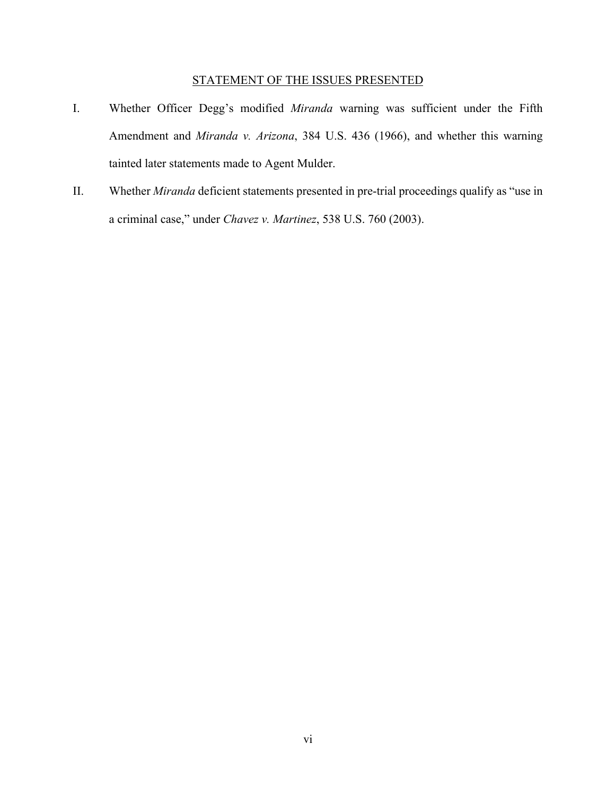#### STATEMENT OF THE ISSUES PRESENTED

- I. Whether Officer Degg's modified *Miranda* warning was sufficient under the Fifth Amendment and *Miranda v. Arizona*, 384 U.S. 436 (1966), and whether this warning tainted later statements made to Agent Mulder.
- II. Whether *Miranda* deficient statements presented in pre-trial proceedings qualify as "use in a criminal case," under *Chavez v. Martinez*, 538 U.S. 760 (2003).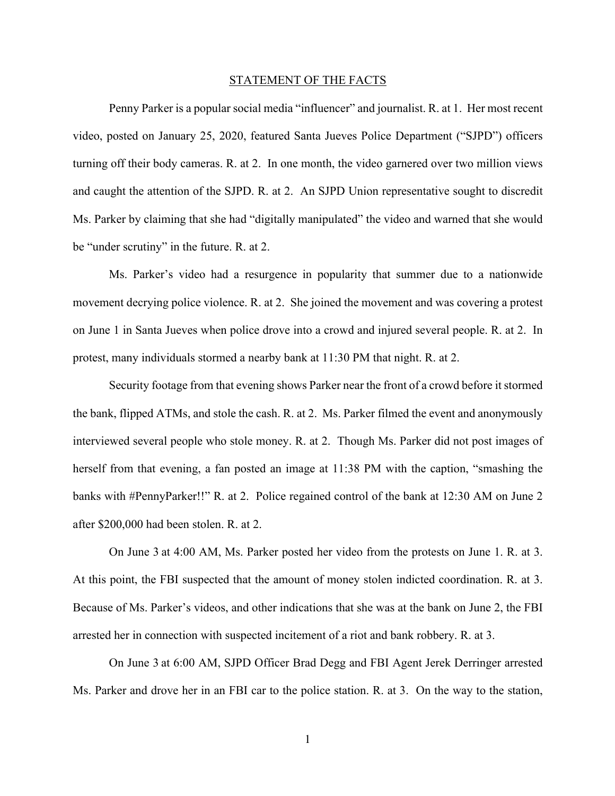#### STATEMENT OF THE FACTS

Penny Parker is a popular social media "influencer" and journalist. R. at 1. Her most recent video, posted on January 25, 2020, featured Santa Jueves Police Department ("SJPD") officers turning off their body cameras. R. at 2. In one month, the video garnered over two million views and caught the attention of the SJPD. R. at 2. An SJPD Union representative sought to discredit Ms. Parker by claiming that she had "digitally manipulated" the video and warned that she would be "under scrutiny" in the future. R. at 2.

Ms. Parker's video had a resurgence in popularity that summer due to a nationwide movement decrying police violence. R. at 2. She joined the movement and was covering a protest on June 1 in Santa Jueves when police drove into a crowd and injured several people. R. at 2. In protest, many individuals stormed a nearby bank at 11:30 PM that night. R. at 2.

Security footage from that evening shows Parker near the front of a crowd before it stormed the bank, flipped ATMs, and stole the cash. R. at 2. Ms. Parker filmed the event and anonymously interviewed several people who stole money. R. at 2. Though Ms. Parker did not post images of herself from that evening, a fan posted an image at 11:38 PM with the caption, "smashing the banks with #PennyParker!!" R. at 2. Police regained control of the bank at 12:30 AM on June 2 after \$200,000 had been stolen. R. at 2.

On June 3 at 4:00 AM, Ms. Parker posted her video from the protests on June 1. R. at 3. At this point, the FBI suspected that the amount of money stolen indicted coordination. R. at 3. Because of Ms. Parker's videos, and other indications that she was at the bank on June 2, the FBI arrested her in connection with suspected incitement of a riot and bank robbery. R. at 3.

On June 3 at 6:00 AM, SJPD Officer Brad Degg and FBI Agent Jerek Derringer arrested Ms. Parker and drove her in an FBI car to the police station. R. at 3. On the way to the station,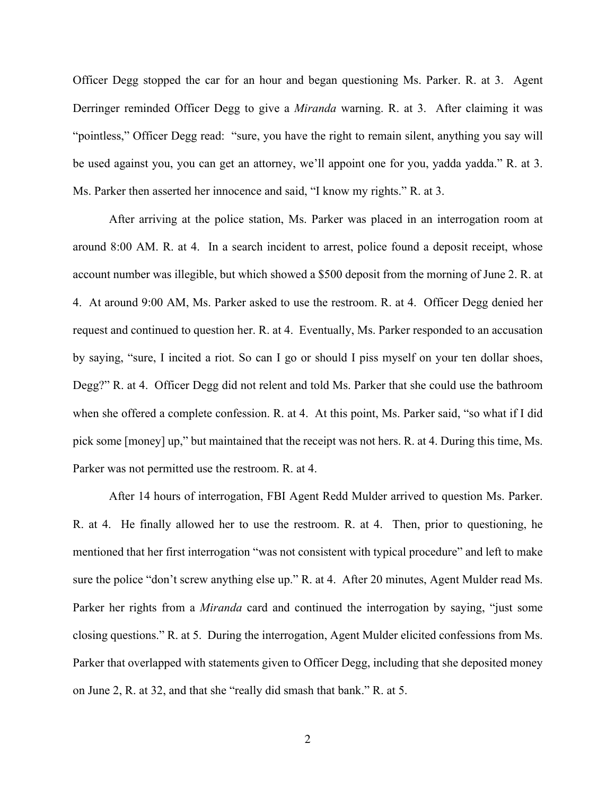Officer Degg stopped the car for an hour and began questioning Ms. Parker. R. at 3. Agent Derringer reminded Officer Degg to give a *Miranda* warning. R. at 3. After claiming it was "pointless," Officer Degg read: "sure, you have the right to remain silent, anything you say will be used against you, you can get an attorney, we'll appoint one for you, yadda yadda." R. at 3. Ms. Parker then asserted her innocence and said, "I know my rights." R. at 3.

After arriving at the police station, Ms. Parker was placed in an interrogation room at around 8:00 AM. R. at 4. In a search incident to arrest, police found a deposit receipt, whose account number was illegible, but which showed a \$500 deposit from the morning of June 2. R. at 4. At around 9:00 AM, Ms. Parker asked to use the restroom. R. at 4. Officer Degg denied her request and continued to question her. R. at 4. Eventually, Ms. Parker responded to an accusation by saying, "sure, I incited a riot. So can I go or should I piss myself on your ten dollar shoes, Degg?" R. at 4. Officer Degg did not relent and told Ms. Parker that she could use the bathroom when she offered a complete confession. R. at 4. At this point, Ms. Parker said, "so what if I did pick some [money] up," but maintained that the receipt was not hers. R. at 4. During this time, Ms. Parker was not permitted use the restroom. R. at 4.

After 14 hours of interrogation, FBI Agent Redd Mulder arrived to question Ms. Parker. R. at 4. He finally allowed her to use the restroom. R. at 4. Then, prior to questioning, he mentioned that her first interrogation "was not consistent with typical procedure" and left to make sure the police "don't screw anything else up." R. at 4. After 20 minutes, Agent Mulder read Ms. Parker her rights from a *Miranda* card and continued the interrogation by saying, "just some closing questions." R. at 5. During the interrogation, Agent Mulder elicited confessions from Ms. Parker that overlapped with statements given to Officer Degg, including that she deposited money on June 2, R. at 32, and that she "really did smash that bank." R. at 5.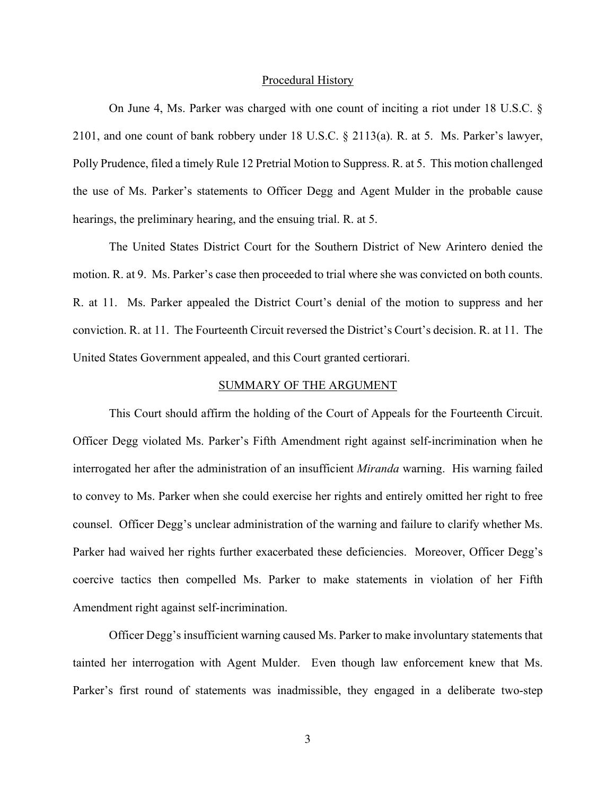#### Procedural History

On June 4, Ms. Parker was charged with one count of inciting a riot under 18 U.S.C. § 2101, and one count of bank robbery under 18 U.S.C. § 2113(a). R. at 5. Ms. Parker's lawyer, Polly Prudence, filed a timely Rule 12 Pretrial Motion to Suppress. R. at 5. This motion challenged the use of Ms. Parker's statements to Officer Degg and Agent Mulder in the probable cause hearings, the preliminary hearing, and the ensuing trial. R. at 5.

The United States District Court for the Southern District of New Arintero denied the motion. R. at 9. Ms. Parker's case then proceeded to trial where she was convicted on both counts. R. at 11. Ms. Parker appealed the District Court's denial of the motion to suppress and her conviction. R. at 11. The Fourteenth Circuit reversed the District's Court's decision. R. at 11. The United States Government appealed, and this Court granted certiorari.

#### SUMMARY OF THE ARGUMENT

This Court should affirm the holding of the Court of Appeals for the Fourteenth Circuit. Officer Degg violated Ms. Parker's Fifth Amendment right against self-incrimination when he interrogated her after the administration of an insufficient *Miranda* warning. His warning failed to convey to Ms. Parker when she could exercise her rights and entirely omitted her right to free counsel. Officer Degg's unclear administration of the warning and failure to clarify whether Ms. Parker had waived her rights further exacerbated these deficiencies. Moreover, Officer Degg's coercive tactics then compelled Ms. Parker to make statements in violation of her Fifth Amendment right against self-incrimination.

Officer Degg's insufficient warning caused Ms. Parker to make involuntary statements that tainted her interrogation with Agent Mulder. Even though law enforcement knew that Ms. Parker's first round of statements was inadmissible, they engaged in a deliberate two-step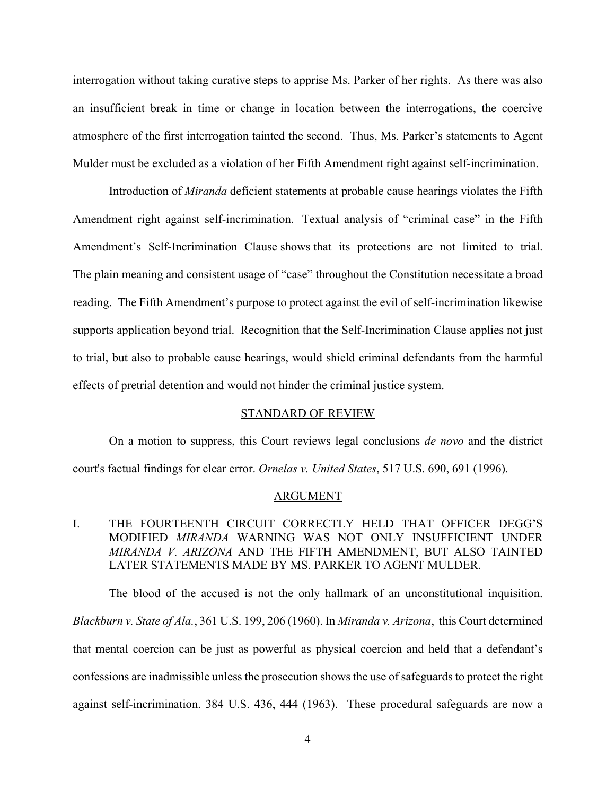interrogation without taking curative steps to apprise Ms. Parker of her rights. As there was also an insufficient break in time or change in location between the interrogations, the coercive atmosphere of the first interrogation tainted the second. Thus, Ms. Parker's statements to Agent Mulder must be excluded as a violation of her Fifth Amendment right against self-incrimination.

Introduction of *Miranda* deficient statements at probable cause hearings violates the Fifth Amendment right against self-incrimination. Textual analysis of "criminal case" in the Fifth Amendment's Self-Incrimination Clause shows that its protections are not limited to trial. The plain meaning and consistent usage of "case" throughout the Constitution necessitate a broad reading. The Fifth Amendment's purpose to protect against the evil of self-incrimination likewise supports application beyond trial. Recognition that the Self-Incrimination Clause applies not just to trial, but also to probable cause hearings, would shield criminal defendants from the harmful effects of pretrial detention and would not hinder the criminal justice system.

#### STANDARD OF REVIEW

On a motion to suppress, this Court reviews legal conclusions *de novo* and the district court's factual findings for clear error. *Ornelas v. United States*, 517 U.S. 690, 691 (1996).

#### ARGUMENT

#### I. THE FOURTEENTH CIRCUIT CORRECTLY HELD THAT OFFICER DEGG'S MODIFIED *MIRANDA* WARNING WAS NOT ONLY INSUFFICIENT UNDER *MIRANDA V. ARIZONA* AND THE FIFTH AMENDMENT, BUT ALSO TAINTED LATER STATEMENTS MADE BY MS. PARKER TO AGENT MULDER.

The blood of the accused is not the only hallmark of an unconstitutional inquisition. *Blackburn v. State of Ala.*, 361 U.S. 199, 206 (1960). In *Miranda v. Arizona*, this Court determined that mental coercion can be just as powerful as physical coercion and held that a defendant's confessions are inadmissible unless the prosecution shows the use of safeguards to protect the right against self-incrimination. 384 U.S. 436, 444 (1963). These procedural safeguards are now a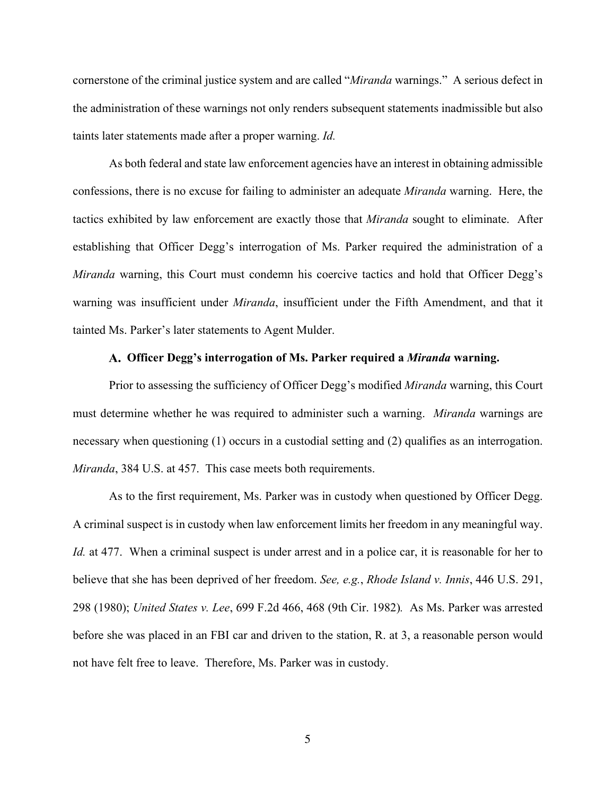cornerstone of the criminal justice system and are called "*Miranda* warnings." A serious defect in the administration of these warnings not only renders subsequent statements inadmissible but also taints later statements made after a proper warning. *Id.*

As both federal and state law enforcement agencies have an interest in obtaining admissible confessions, there is no excuse for failing to administer an adequate *Miranda* warning. Here, the tactics exhibited by law enforcement are exactly those that *Miranda* sought to eliminate. After establishing that Officer Degg's interrogation of Ms. Parker required the administration of a *Miranda* warning, this Court must condemn his coercive tactics and hold that Officer Degg's warning was insufficient under *Miranda*, insufficient under the Fifth Amendment, and that it tainted Ms. Parker's later statements to Agent Mulder.

#### **Officer Degg's interrogation of Ms. Parker required a** *Miranda* **warning.**

Prior to assessing the sufficiency of Officer Degg's modified *Miranda* warning, this Court must determine whether he was required to administer such a warning. *Miranda* warnings are necessary when questioning (1) occurs in a custodial setting and (2) qualifies as an interrogation. *Miranda*, 384 U.S. at 457. This case meets both requirements.

As to the first requirement, Ms. Parker was in custody when questioned by Officer Degg. A criminal suspect is in custody when law enforcement limits her freedom in any meaningful way. *Id.* at 477. When a criminal suspect is under arrest and in a police car, it is reasonable for her to believe that she has been deprived of her freedom. *See, e.g.*, *Rhode Island v. Innis*, 446 U.S. 291, 298 (1980); *United States v. Lee*, 699 F.2d 466, 468 (9th Cir. 1982)*.* As Ms. Parker was arrested before she was placed in an FBI car and driven to the station, R. at 3, a reasonable person would not have felt free to leave. Therefore, Ms. Parker was in custody.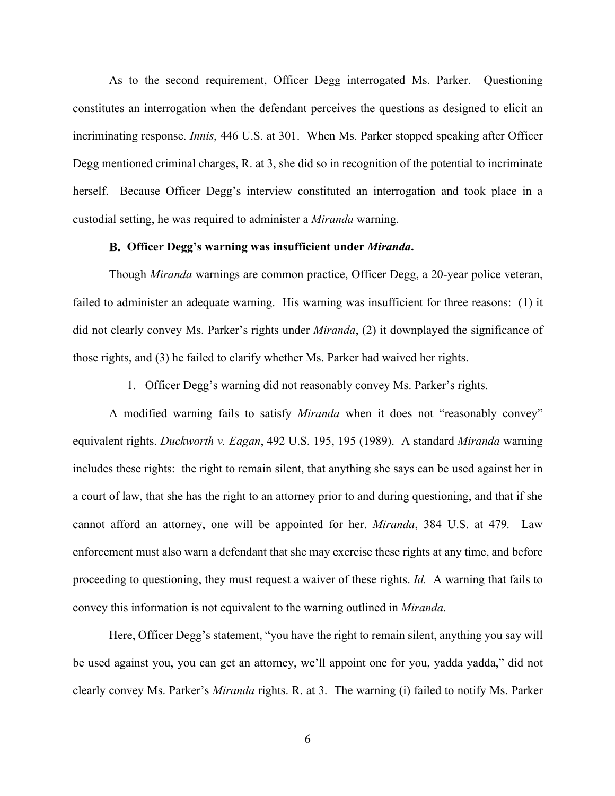As to the second requirement, Officer Degg interrogated Ms. Parker. Questioning constitutes an interrogation when the defendant perceives the questions as designed to elicit an incriminating response. *Innis*, 446 U.S. at 301. When Ms. Parker stopped speaking after Officer Degg mentioned criminal charges, R. at 3, she did so in recognition of the potential to incriminate herself. Because Officer Degg's interview constituted an interrogation and took place in a custodial setting, he was required to administer a *Miranda* warning.

#### **Officer Degg's warning was insufficient under** *Miranda***.**

Though *Miranda* warnings are common practice, Officer Degg, a 20-year police veteran, failed to administer an adequate warning. His warning was insufficient for three reasons: (1) it did not clearly convey Ms. Parker's rights under *Miranda*, (2) it downplayed the significance of those rights, and (3) he failed to clarify whether Ms. Parker had waived her rights.

#### 1. Officer Degg's warning did not reasonably convey Ms. Parker's rights.

A modified warning fails to satisfy *Miranda* when it does not "reasonably convey" equivalent rights. *Duckworth v. Eagan*, 492 U.S. 195, 195 (1989). A standard *Miranda* warning includes these rights: the right to remain silent, that anything she says can be used against her in a court of law, that she has the right to an attorney prior to and during questioning, and that if she cannot afford an attorney, one will be appointed for her. *Miranda*, 384 U.S. at 479*.* Law enforcement must also warn a defendant that she may exercise these rights at any time, and before proceeding to questioning, they must request a waiver of these rights. *Id.* A warning that fails to convey this information is not equivalent to the warning outlined in *Miranda*.

Here, Officer Degg's statement, "you have the right to remain silent, anything you say will be used against you, you can get an attorney, we'll appoint one for you, yadda yadda," did not clearly convey Ms. Parker's *Miranda* rights. R. at 3. The warning (i) failed to notify Ms. Parker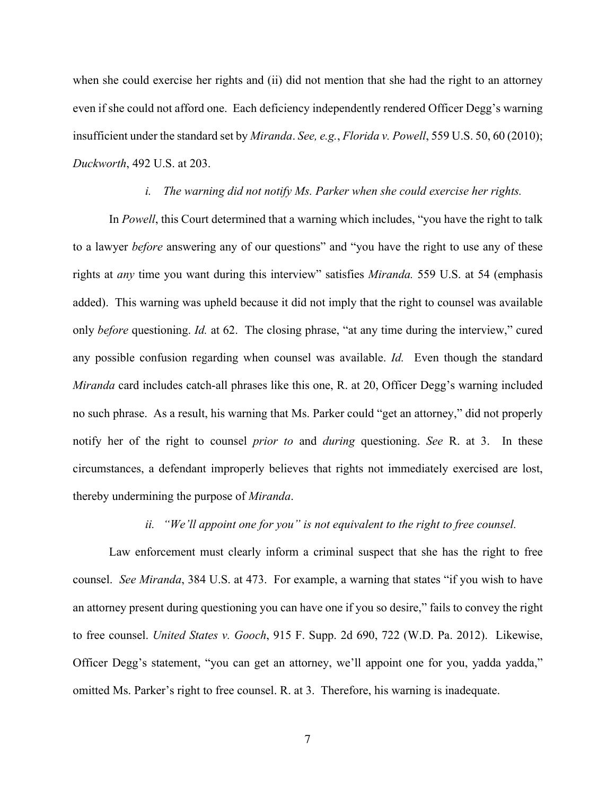when she could exercise her rights and (ii) did not mention that she had the right to an attorney even if she could not afford one. Each deficiency independently rendered Officer Degg's warning insufficient under the standard set by *Miranda*. *See, e.g.*, *Florida v. Powell*, 559 U.S. 50, 60 (2010); *Duckworth*, 492 U.S. at 203.

#### *i. The warning did not notify Ms. Parker when she could exercise her rights.*

In *Powell*, this Court determined that a warning which includes, "you have the right to talk to a lawyer *before* answering any of our questions" and "you have the right to use any of these rights at *any* time you want during this interview" satisfies *Miranda.* 559 U.S. at 54 (emphasis added). This warning was upheld because it did not imply that the right to counsel was available only *before* questioning. *Id.* at 62. The closing phrase, "at any time during the interview," cured any possible confusion regarding when counsel was available. *Id.* Even though the standard *Miranda* card includes catch-all phrases like this one, R. at 20, Officer Degg's warning included no such phrase. As a result, his warning that Ms. Parker could "get an attorney," did not properly notify her of the right to counsel *prior to* and *during* questioning. *See* R. at 3. In these circumstances, a defendant improperly believes that rights not immediately exercised are lost, thereby undermining the purpose of *Miranda*.

#### *ii. "We'll appoint one for you" is not equivalent to the right to free counsel.*

Law enforcement must clearly inform a criminal suspect that she has the right to free counsel. *See Miranda*, 384 U.S. at 473. For example, a warning that states "if you wish to have an attorney present during questioning you can have one if you so desire," fails to convey the right to free counsel. *United States v. Gooch*, 915 F. Supp. 2d 690, 722 (W.D. Pa. 2012). Likewise, Officer Degg's statement, "you can get an attorney, we'll appoint one for you, yadda yadda," omitted Ms. Parker's right to free counsel. R. at 3. Therefore, his warning is inadequate.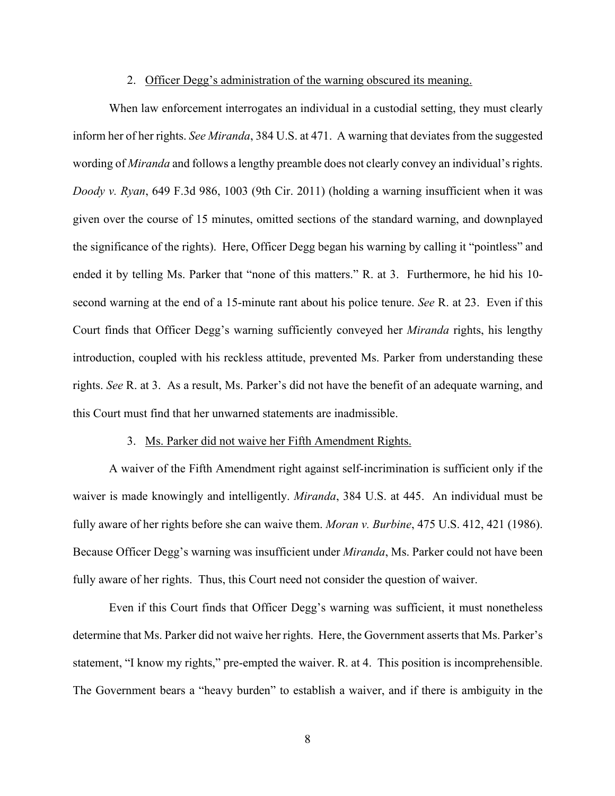#### 2. Officer Degg's administration of the warning obscured its meaning.

When law enforcement interrogates an individual in a custodial setting, they must clearly inform her of her rights. *See Miranda*, 384 U.S. at 471. A warning that deviates from the suggested wording of *Miranda* and follows a lengthy preamble does not clearly convey an individual's rights. *Doody v. Ryan*, 649 F.3d 986, 1003 (9th Cir. 2011) (holding a warning insufficient when it was given over the course of 15 minutes, omitted sections of the standard warning, and downplayed the significance of the rights). Here, Officer Degg began his warning by calling it "pointless" and ended it by telling Ms. Parker that "none of this matters." R. at 3. Furthermore, he hid his 10 second warning at the end of a 15-minute rant about his police tenure. *See* R. at 23. Even if this Court finds that Officer Degg's warning sufficiently conveyed her *Miranda* rights, his lengthy introduction, coupled with his reckless attitude, prevented Ms. Parker from understanding these rights. *See* R. at 3. As a result, Ms. Parker's did not have the benefit of an adequate warning, and this Court must find that her unwarned statements are inadmissible.

#### 3. Ms. Parker did not waive her Fifth Amendment Rights.

A waiver of the Fifth Amendment right against self-incrimination is sufficient only if the waiver is made knowingly and intelligently. *Miranda*, 384 U.S. at 445. An individual must be fully aware of her rights before she can waive them. *Moran v. Burbine*, 475 U.S. 412, 421 (1986). Because Officer Degg's warning was insufficient under *Miranda*, Ms. Parker could not have been fully aware of her rights. Thus, this Court need not consider the question of waiver.

Even if this Court finds that Officer Degg's warning was sufficient, it must nonetheless determine that Ms. Parker did not waive her rights. Here, the Government asserts that Ms. Parker's statement, "I know my rights," pre-empted the waiver. R. at 4. This position is incomprehensible. The Government bears a "heavy burden" to establish a waiver, and if there is ambiguity in the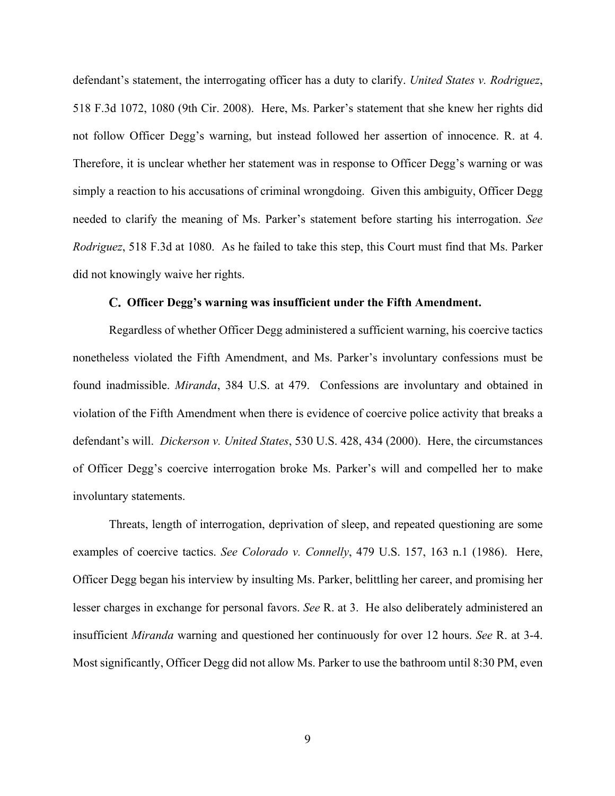defendant's statement, the interrogating officer has a duty to clarify. *United States v. Rodriguez*, 518 F.3d 1072, 1080 (9th Cir. 2008). Here, Ms. Parker's statement that she knew her rights did not follow Officer Degg's warning, but instead followed her assertion of innocence. R. at 4. Therefore, it is unclear whether her statement was in response to Officer Degg's warning or was simply a reaction to his accusations of criminal wrongdoing. Given this ambiguity, Officer Degg needed to clarify the meaning of Ms. Parker's statement before starting his interrogation. *See Rodriguez*, 518 F.3d at 1080. As he failed to take this step, this Court must find that Ms. Parker did not knowingly waive her rights.

#### **Officer Degg's warning was insufficient under the Fifth Amendment.**

Regardless of whether Officer Degg administered a sufficient warning, his coercive tactics nonetheless violated the Fifth Amendment, and Ms. Parker's involuntary confessions must be found inadmissible. *Miranda*, 384 U.S. at 479. Confessions are involuntary and obtained in violation of the Fifth Amendment when there is evidence of coercive police activity that breaks a defendant's will. *Dickerson v. United States*, 530 U.S. 428, 434 (2000). Here, the circumstances of Officer Degg's coercive interrogation broke Ms. Parker's will and compelled her to make involuntary statements.

Threats, length of interrogation, deprivation of sleep, and repeated questioning are some examples of coercive tactics. *See Colorado v. Connelly*, 479 U.S. 157, 163 n.1 (1986). Here, Officer Degg began his interview by insulting Ms. Parker, belittling her career, and promising her lesser charges in exchange for personal favors. *See* R. at 3. He also deliberately administered an insufficient *Miranda* warning and questioned her continuously for over 12 hours. *See* R. at 3-4. Most significantly, Officer Degg did not allow Ms. Parker to use the bathroom until 8:30 PM, even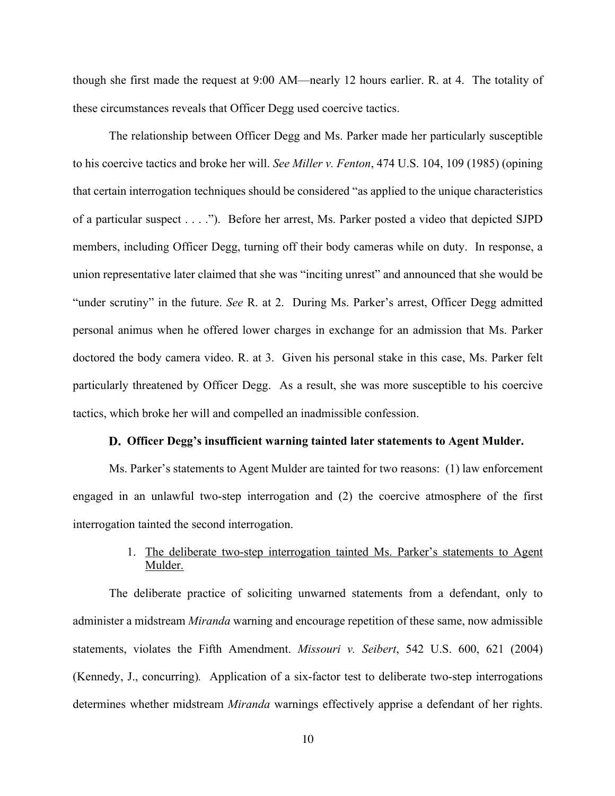though she first made the request at 9:00 AM—nearly 12 hours earlier. R. at 4. The totality of these circumstances reveals that Officer Degg used coercive tactics.

The relationship between Officer Degg and Ms. Parker made her particularly susceptible to his coercive tactics and broke her will. *See Miller v. Fenton*, 474 U.S. 104, 109 (1985) (opining that certain interrogation techniques should be considered "as applied to the unique characteristics of a particular suspect . . . ."). Before her arrest, Ms. Parker posted a video that depicted SJPD members, including Officer Degg, turning off their body cameras while on duty. In response, a union representative later claimed that she was "inciting unrest" and announced that she would be "under scrutiny" in the future. *See* R. at 2. During Ms. Parker's arrest, Officer Degg admitted personal animus when he offered lower charges in exchange for an admission that Ms. Parker doctored the body camera video. R. at 3. Given his personal stake in this case, Ms. Parker felt particularly threatened by Officer Degg. As a result, she was more susceptible to his coercive tactics, which broke her will and compelled an inadmissible confession.

#### **Officer Degg's insufficient warning tainted later statements to Agent Mulder.**

Ms. Parker's statements to Agent Mulder are tainted for two reasons: (1) law enforcement engaged in an unlawful two-step interrogation and (2) the coercive atmosphere of the first interrogation tainted the second interrogation.

#### 1. The deliberate two-step interrogation tainted Ms. Parker's statements to Agent Mulder.

The deliberate practice of soliciting unwarned statements from a defendant, only to administer a midstream *Miranda* warning and encourage repetition of these same, now admissible statements, violates the Fifth Amendment. *Missouri v. Seibert*, 542 U.S. 600, 621 (2004) (Kennedy, J., concurring)*.* Application of a six-factor test to deliberate two-step interrogations determines whether midstream *Miranda* warnings effectively apprise a defendant of her rights.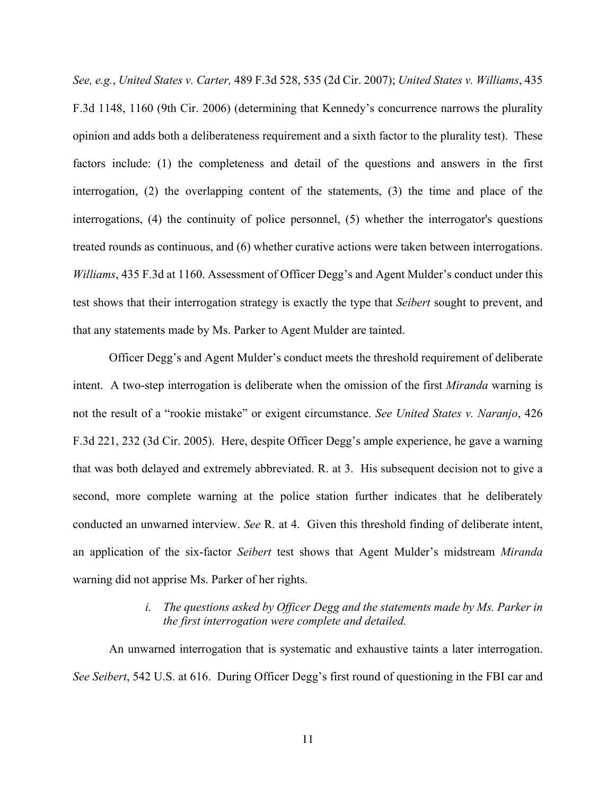*See, e.g.*, *United States v. Carter,* 489 F.3d 528, 535 (2d Cir. 2007); *United States v. Williams*, 435 F.3d 1148, 1160 (9th Cir. 2006) (determining that Kennedy's concurrence narrows the plurality opinion and adds both a deliberateness requirement and a sixth factor to the plurality test). These factors include: (1) the completeness and detail of the questions and answers in the first interrogation, (2) the overlapping content of the statements, (3) the time and place of the interrogations, (4) the continuity of police personnel, (5) whether the interrogator's questions treated rounds as continuous, and (6) whether curative actions were taken between interrogations. *Williams*, 435 F.3d at 1160. Assessment of Officer Degg's and Agent Mulder's conduct under this test shows that their interrogation strategy is exactly the type that *Seibert* sought to prevent, and that any statements made by Ms. Parker to Agent Mulder are tainted.

Officer Degg's and Agent Mulder's conduct meets the threshold requirement of deliberate intent. A two-step interrogation is deliberate when the omission of the first *Miranda* warning is not the result of a "rookie mistake" or exigent circumstance. *See United States v. Naranjo*, 426 F.3d 221, 232 (3d Cir. 2005). Here, despite Officer Degg's ample experience, he gave a warning that was both delayed and extremely abbreviated. R. at 3. His subsequent decision not to give a second, more complete warning at the police station further indicates that he deliberately conducted an unwarned interview. *See* R. at 4. Given this threshold finding of deliberate intent, an application of the six-factor *Seibert* test shows that Agent Mulder's midstream *Miranda* warning did not apprise Ms. Parker of her rights.

#### *i. The questions asked by Officer Degg and the statements made by Ms. Parker in the first interrogation were complete and detailed.*

An unwarned interrogation that is systematic and exhaustive taints a later interrogation. *See Seibert*, 542 U.S. at 616. During Officer Degg's first round of questioning in the FBI car and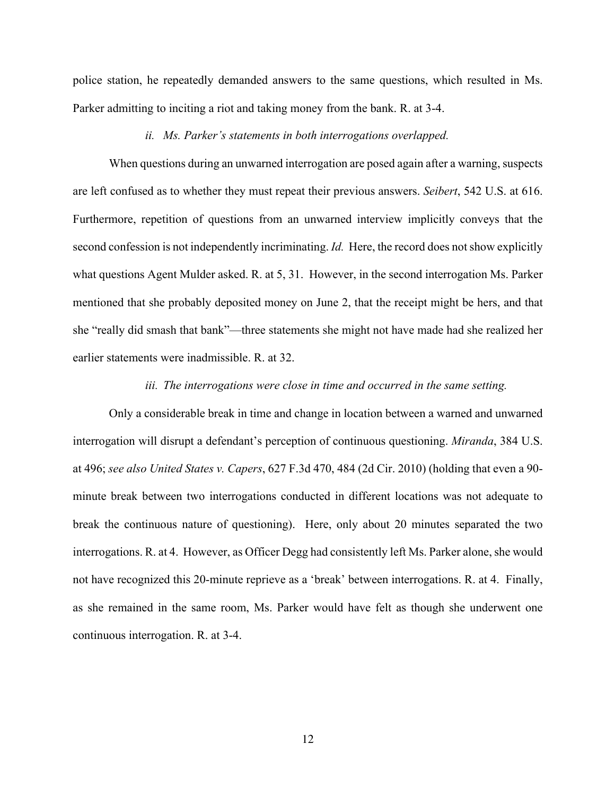police station, he repeatedly demanded answers to the same questions, which resulted in Ms. Parker admitting to inciting a riot and taking money from the bank. R. at 3-4.

#### *ii. Ms. Parker's statements in both interrogations overlapped.*

When questions during an unwarned interrogation are posed again after a warning, suspects are left confused as to whether they must repeat their previous answers. *Seibert*, 542 U.S. at 616. Furthermore, repetition of questions from an unwarned interview implicitly conveys that the second confession is not independently incriminating. *Id.* Here, the record does not show explicitly what questions Agent Mulder asked. R. at 5, 31. However, in the second interrogation Ms. Parker mentioned that she probably deposited money on June 2, that the receipt might be hers, and that she "really did smash that bank"—three statements she might not have made had she realized her earlier statements were inadmissible. R. at 32.

#### *iii. The interrogations were close in time and occurred in the same setting.*

Only a considerable break in time and change in location between a warned and unwarned interrogation will disrupt a defendant's perception of continuous questioning. *Miranda*, 384 U.S. at 496; *see also United States v. Capers*, 627 F.3d 470, 484 (2d Cir. 2010) (holding that even a 90 minute break between two interrogations conducted in different locations was not adequate to break the continuous nature of questioning). Here, only about 20 minutes separated the two interrogations. R. at 4. However, as Officer Degg had consistently left Ms. Parker alone, she would not have recognized this 20-minute reprieve as a 'break' between interrogations. R. at 4. Finally, as she remained in the same room, Ms. Parker would have felt as though she underwent one continuous interrogation. R. at 3-4.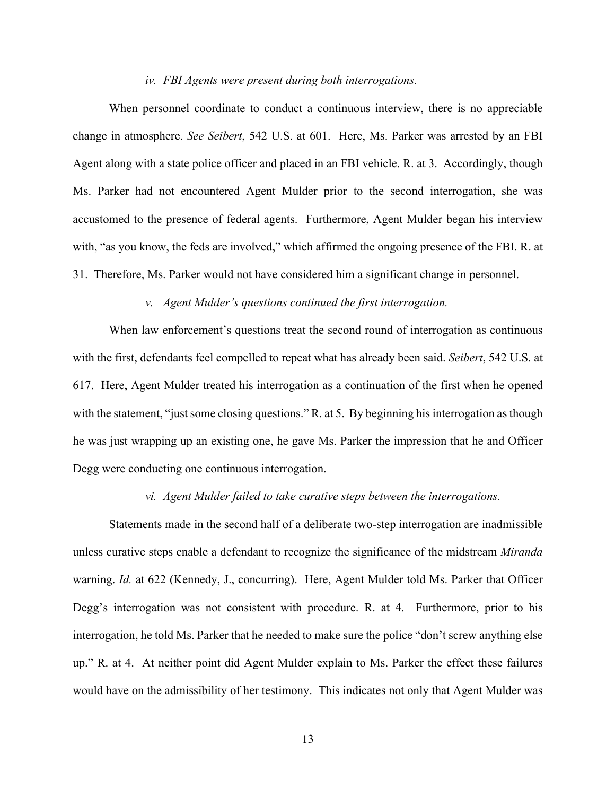#### *iv. FBI Agents were present during both interrogations.*

When personnel coordinate to conduct a continuous interview, there is no appreciable change in atmosphere. *See Seibert*, 542 U.S. at 601. Here, Ms. Parker was arrested by an FBI Agent along with a state police officer and placed in an FBI vehicle. R. at 3. Accordingly, though Ms. Parker had not encountered Agent Mulder prior to the second interrogation, she was accustomed to the presence of federal agents. Furthermore, Agent Mulder began his interview with, "as you know, the feds are involved," which affirmed the ongoing presence of the FBI. R. at 31. Therefore, Ms. Parker would not have considered him a significant change in personnel.

#### *v. Agent Mulder's questions continued the first interrogation.*

When law enforcement's questions treat the second round of interrogation as continuous with the first, defendants feel compelled to repeat what has already been said. *Seibert*, 542 U.S. at 617. Here, Agent Mulder treated his interrogation as a continuation of the first when he opened with the statement, "just some closing questions." R. at 5. By beginning his interrogation as though he was just wrapping up an existing one, he gave Ms. Parker the impression that he and Officer Degg were conducting one continuous interrogation.

#### *vi. Agent Mulder failed to take curative steps between the interrogations.*

Statements made in the second half of a deliberate two-step interrogation are inadmissible unless curative steps enable a defendant to recognize the significance of the midstream *Miranda* warning. *Id.* at 622 (Kennedy, J., concurring). Here, Agent Mulder told Ms. Parker that Officer Degg's interrogation was not consistent with procedure. R. at 4. Furthermore, prior to his interrogation, he told Ms. Parker that he needed to make sure the police "don't screw anything else up." R. at 4. At neither point did Agent Mulder explain to Ms. Parker the effect these failures would have on the admissibility of her testimony. This indicates not only that Agent Mulder was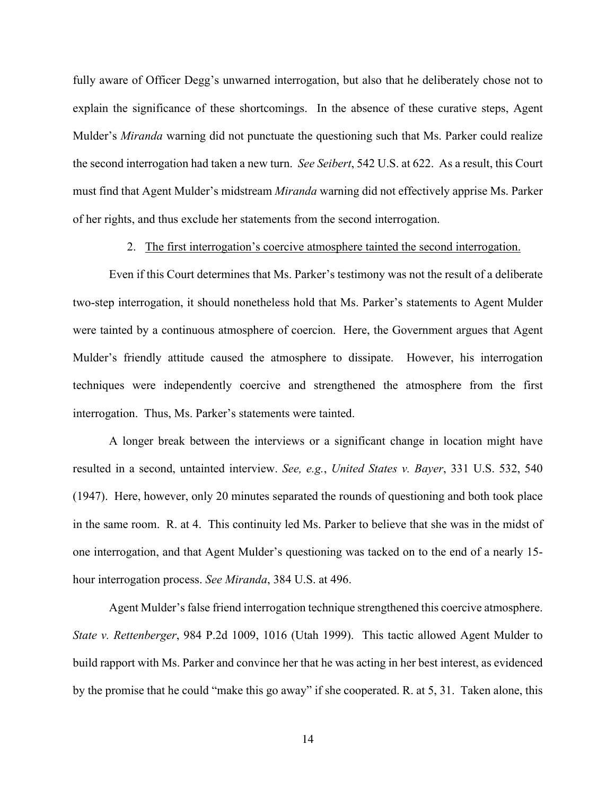fully aware of Officer Degg's unwarned interrogation, but also that he deliberately chose not to explain the significance of these shortcomings. In the absence of these curative steps, Agent Mulder's *Miranda* warning did not punctuate the questioning such that Ms. Parker could realize the second interrogation had taken a new turn. *See Seibert*, 542 U.S. at 622. As a result, this Court must find that Agent Mulder's midstream *Miranda* warning did not effectively apprise Ms. Parker of her rights, and thus exclude her statements from the second interrogation.

2. The first interrogation's coercive atmosphere tainted the second interrogation.

Even if this Court determines that Ms. Parker's testimony was not the result of a deliberate two-step interrogation, it should nonetheless hold that Ms. Parker's statements to Agent Mulder were tainted by a continuous atmosphere of coercion. Here, the Government argues that Agent Mulder's friendly attitude caused the atmosphere to dissipate. However, his interrogation techniques were independently coercive and strengthened the atmosphere from the first interrogation. Thus, Ms. Parker's statements were tainted.

A longer break between the interviews or a significant change in location might have resulted in a second, untainted interview. *See, e.g.*, *United States v. Bayer*, 331 U.S. 532, 540 (1947). Here, however, only 20 minutes separated the rounds of questioning and both took place in the same room. R. at 4. This continuity led Ms. Parker to believe that she was in the midst of one interrogation, and that Agent Mulder's questioning was tacked on to the end of a nearly 15 hour interrogation process. *See Miranda*, 384 U.S. at 496.

Agent Mulder's false friend interrogation technique strengthened this coercive atmosphere. *State v. Rettenberger*, 984 P.2d 1009, 1016 (Utah 1999). This tactic allowed Agent Mulder to build rapport with Ms. Parker and convince her that he was acting in her best interest, as evidenced by the promise that he could "make this go away" if she cooperated. R. at 5, 31. Taken alone, this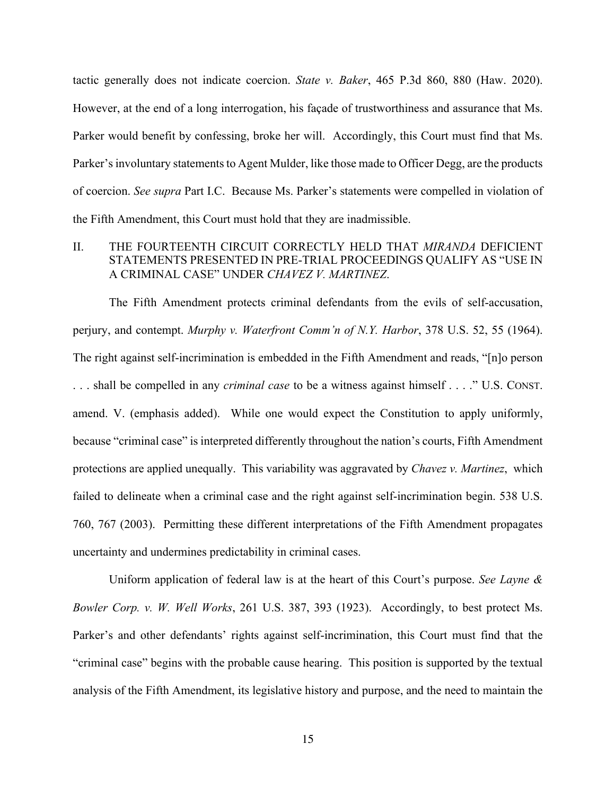tactic generally does not indicate coercion. *State v. Baker*, 465 P.3d 860, 880 (Haw. 2020). However, at the end of a long interrogation, his façade of trustworthiness and assurance that Ms. Parker would benefit by confessing, broke her will. Accordingly, this Court must find that Ms. Parker's involuntary statements to Agent Mulder, like those made to Officer Degg, are the products of coercion. *See supra* Part I.C. Because Ms. Parker's statements were compelled in violation of the Fifth Amendment, this Court must hold that they are inadmissible.

#### II. THE FOURTEENTH CIRCUIT CORRECTLY HELD THAT *MIRANDA* DEFICIENT STATEMENTS PRESENTED IN PRE-TRIAL PROCEEDINGS QUALIFY AS "USE IN A CRIMINAL CASE" UNDER *CHAVEZ V. MARTINEZ*.

The Fifth Amendment protects criminal defendants from the evils of self-accusation, perjury, and contempt. *Murphy v. Waterfront Comm'n of N.Y. Harbor*, 378 U.S. 52, 55 (1964). The right against self-incrimination is embedded in the Fifth Amendment and reads, "[n]o person . . . shall be compelled in any *criminal case* to be a witness against himself . . . ." U.S. CONST. amend. V. (emphasis added). While one would expect the Constitution to apply uniformly, because "criminal case" is interpreted differently throughout the nation's courts, Fifth Amendment protections are applied unequally. This variability was aggravated by *Chavez v. Martinez*, which failed to delineate when a criminal case and the right against self-incrimination begin. 538 U.S. 760, 767 (2003). Permitting these different interpretations of the Fifth Amendment propagates uncertainty and undermines predictability in criminal cases.

Uniform application of federal law is at the heart of this Court's purpose. *See Layne & Bowler Corp. v. W. Well Works*, 261 U.S. 387, 393 (1923). Accordingly, to best protect Ms. Parker's and other defendants' rights against self-incrimination, this Court must find that the "criminal case" begins with the probable cause hearing. This position is supported by the textual analysis of the Fifth Amendment, its legislative history and purpose, and the need to maintain the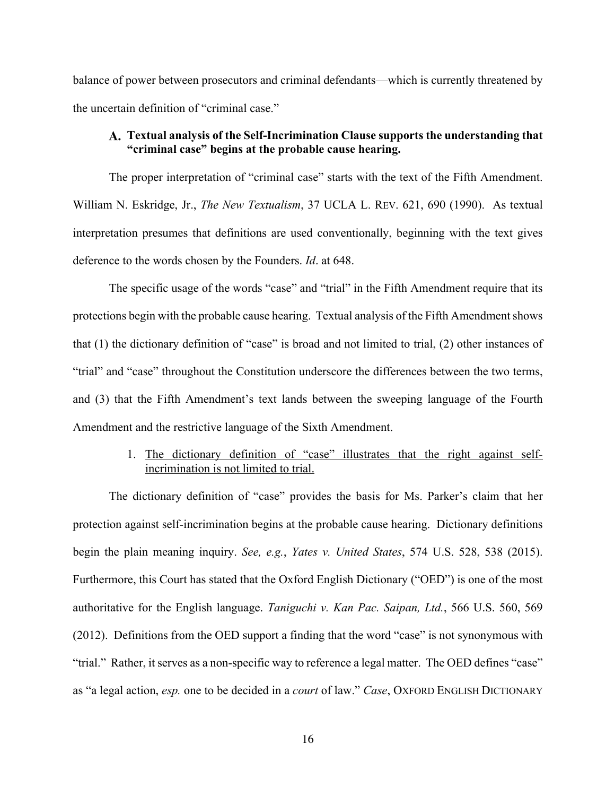balance of power between prosecutors and criminal defendants—which is currently threatened by the uncertain definition of "criminal case."

#### **Textual analysis of the Self-Incrimination Clause supports the understanding that "criminal case" begins at the probable cause hearing.**

The proper interpretation of "criminal case" starts with the text of the Fifth Amendment. William N. Eskridge, Jr., *The New Textualism*, 37 UCLA L. REV. 621, 690 (1990). As textual interpretation presumes that definitions are used conventionally, beginning with the text gives deference to the words chosen by the Founders. *Id*. at 648.

The specific usage of the words "case" and "trial" in the Fifth Amendment require that its protections begin with the probable cause hearing. Textual analysis of the Fifth Amendment shows that (1) the dictionary definition of "case" is broad and not limited to trial, (2) other instances of "trial" and "case" throughout the Constitution underscore the differences between the two terms, and (3) that the Fifth Amendment's text lands between the sweeping language of the Fourth Amendment and the restrictive language of the Sixth Amendment.

#### 1. The dictionary definition of "case" illustrates that the right against selfincrimination is not limited to trial.

The dictionary definition of "case" provides the basis for Ms. Parker's claim that her protection against self-incrimination begins at the probable cause hearing. Dictionary definitions begin the plain meaning inquiry. *See, e.g.*, *Yates v. United States*, 574 U.S. 528, 538 (2015). Furthermore, this Court has stated that the Oxford English Dictionary ("OED") is one of the most authoritative for the English language. *Taniguchi v. Kan Pac. Saipan, Ltd.*, 566 U.S. 560, 569 (2012). Definitions from the OED support a finding that the word "case" is not synonymous with "trial." Rather, it serves as a non-specific way to reference a legal matter. The OED defines "case" as "a legal action, *esp.* one to be decided in a *court* of law." *Case*, OXFORD ENGLISH DICTIONARY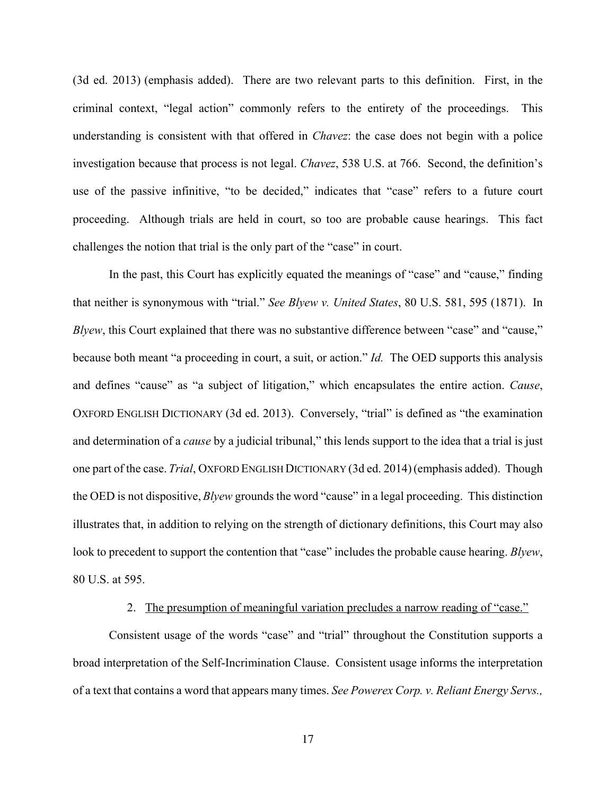(3d ed. 2013) (emphasis added). There are two relevant parts to this definition. First, in the criminal context, "legal action" commonly refers to the entirety of the proceedings. This understanding is consistent with that offered in *Chavez*: the case does not begin with a police investigation because that process is not legal. *Chavez*, 538 U.S. at 766. Second, the definition's use of the passive infinitive, "to be decided," indicates that "case" refers to a future court proceeding. Although trials are held in court, so too are probable cause hearings. This fact challenges the notion that trial is the only part of the "case" in court.

In the past, this Court has explicitly equated the meanings of "case" and "cause," finding that neither is synonymous with "trial." *See Blyew v. United States*, 80 U.S. 581, 595 (1871). In *Blyew*, this Court explained that there was no substantive difference between "case" and "cause," because both meant "a proceeding in court, a suit, or action." *Id.* The OED supports this analysis and defines "cause" as "a subject of litigation," which encapsulates the entire action. *Cause*, OXFORD ENGLISH DICTIONARY (3d ed. 2013). Conversely, "trial" is defined as "the examination and determination of a *cause* by a judicial tribunal," this lends support to the idea that a trial is just one part of the case. *Trial*, OXFORD ENGLISH DICTIONARY (3d ed. 2014)(emphasis added). Though the OED is not dispositive, *Blyew* grounds the word "cause" in a legal proceeding. This distinction illustrates that, in addition to relying on the strength of dictionary definitions, this Court may also look to precedent to support the contention that "case" includes the probable cause hearing. *Blyew*, 80 U.S. at 595.

#### 2. The presumption of meaningful variation precludes a narrow reading of "case."

Consistent usage of the words "case" and "trial" throughout the Constitution supports a broad interpretation of the Self-Incrimination Clause. Consistent usage informs the interpretation of a text that contains a word that appears many times. *See Powerex Corp. v. Reliant Energy Servs.,*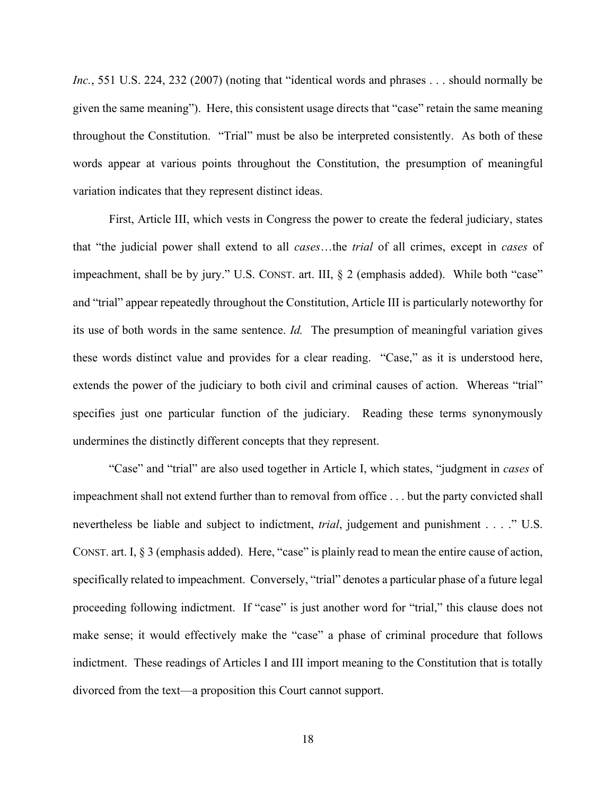*Inc.*, 551 U.S. 224, 232 (2007) (noting that "identical words and phrases . . . should normally be given the same meaning"). Here, this consistent usage directs that "case" retain the same meaning throughout the Constitution. "Trial" must be also be interpreted consistently. As both of these words appear at various points throughout the Constitution, the presumption of meaningful variation indicates that they represent distinct ideas.

First, Article III, which vests in Congress the power to create the federal judiciary, states that "the judicial power shall extend to all *cases*…the *trial* of all crimes, except in *cases* of impeachment, shall be by jury." U.S. CONST. art. III, § 2 (emphasis added). While both "case" and "trial" appear repeatedly throughout the Constitution, Article III is particularly noteworthy for its use of both words in the same sentence. *Id.* The presumption of meaningful variation gives these words distinct value and provides for a clear reading. "Case," as it is understood here, extends the power of the judiciary to both civil and criminal causes of action. Whereas "trial" specifies just one particular function of the judiciary. Reading these terms synonymously undermines the distinctly different concepts that they represent.

"Case" and "trial" are also used together in Article I, which states, "judgment in *cases* of impeachment shall not extend further than to removal from office . . . but the party convicted shall nevertheless be liable and subject to indictment, *trial*, judgement and punishment . . . ." U.S. CONST. art. I, § 3 (emphasis added). Here, "case" is plainly read to mean the entire cause of action, specifically related to impeachment. Conversely, "trial" denotes a particular phase of a future legal proceeding following indictment. If "case" is just another word for "trial," this clause does not make sense; it would effectively make the "case" a phase of criminal procedure that follows indictment. These readings of Articles I and III import meaning to the Constitution that is totally divorced from the text—a proposition this Court cannot support.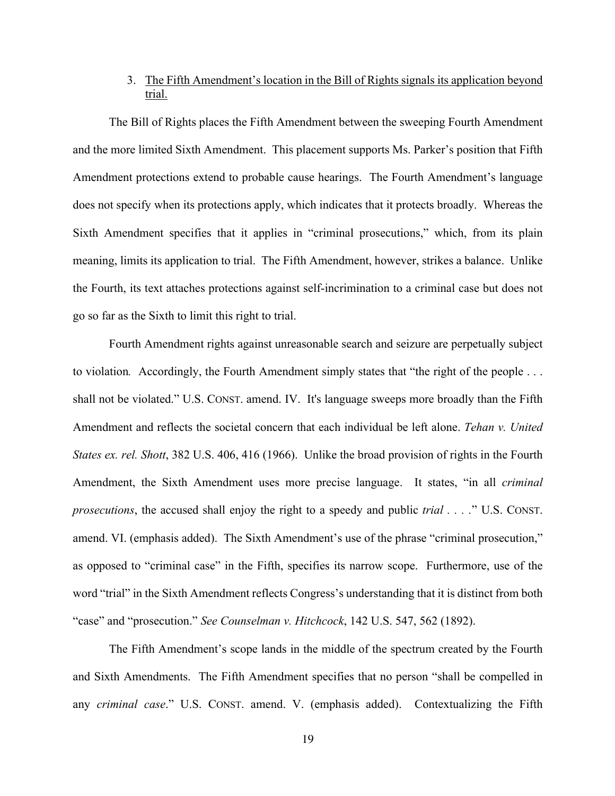#### 3. The Fifth Amendment's location in the Bill of Rights signals its application beyond trial.

The Bill of Rights places the Fifth Amendment between the sweeping Fourth Amendment and the more limited Sixth Amendment. This placement supports Ms. Parker's position that Fifth Amendment protections extend to probable cause hearings. The Fourth Amendment's language does not specify when its protections apply, which indicates that it protects broadly. Whereas the Sixth Amendment specifies that it applies in "criminal prosecutions," which, from its plain meaning, limits its application to trial. The Fifth Amendment, however, strikes a balance. Unlike the Fourth, its text attaches protections against self-incrimination to a criminal case but does not go so far as the Sixth to limit this right to trial.

Fourth Amendment rights against unreasonable search and seizure are perpetually subject to violation*.* Accordingly, the Fourth Amendment simply states that "the right of the people . . . shall not be violated." U.S. CONST. amend. IV. It's language sweeps more broadly than the Fifth Amendment and reflects the societal concern that each individual be left alone. *Tehan v. United States ex. rel. Shott*, 382 U.S. 406, 416 (1966). Unlike the broad provision of rights in the Fourth Amendment, the Sixth Amendment uses more precise language. It states, "in all *criminal prosecutions*, the accused shall enjoy the right to a speedy and public *trial . . . .*" U.S. CONST. amend. VI. (emphasis added). The Sixth Amendment's use of the phrase "criminal prosecution," as opposed to "criminal case" in the Fifth, specifies its narrow scope. Furthermore, use of the word "trial" in the Sixth Amendment reflects Congress's understanding that it is distinct from both "case" and "prosecution." *See Counselman v. Hitchcock*, 142 U.S. 547, 562 (1892).

The Fifth Amendment's scope lands in the middle of the spectrum created by the Fourth and Sixth Amendments. The Fifth Amendment specifies that no person "shall be compelled in any *criminal case*." U.S. CONST. amend. V. (emphasis added). Contextualizing the Fifth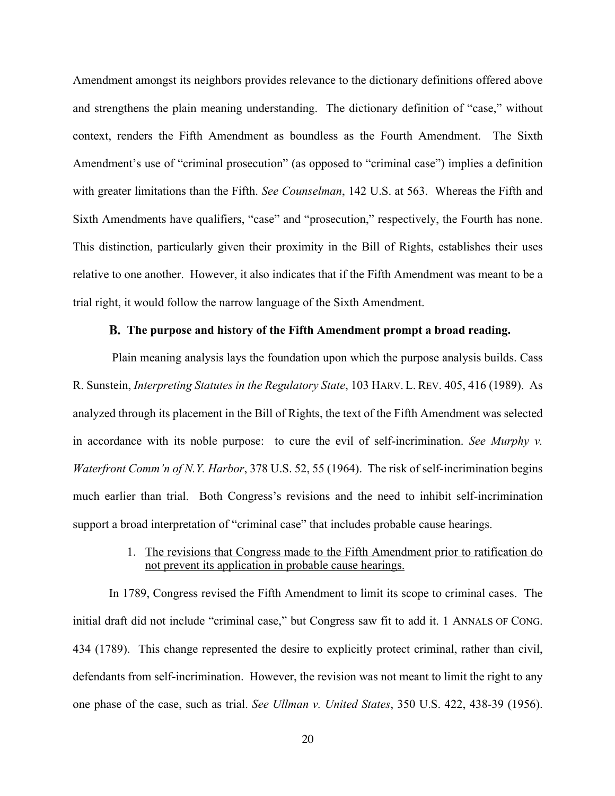Amendment amongst its neighbors provides relevance to the dictionary definitions offered above and strengthens the plain meaning understanding. The dictionary definition of "case," without context, renders the Fifth Amendment as boundless as the Fourth Amendment. The Sixth Amendment's use of "criminal prosecution" (as opposed to "criminal case") implies a definition with greater limitations than the Fifth. *See Counselman*, 142 U.S. at 563. Whereas the Fifth and Sixth Amendments have qualifiers, "case" and "prosecution," respectively, the Fourth has none. This distinction, particularly given their proximity in the Bill of Rights, establishes their uses relative to one another. However, it also indicates that if the Fifth Amendment was meant to be a trial right, it would follow the narrow language of the Sixth Amendment.

#### **The purpose and history of the Fifth Amendment prompt a broad reading.**

Plain meaning analysis lays the foundation upon which the purpose analysis builds. Cass R. Sunstein, *Interpreting Statutes in the Regulatory State*, 103 HARV. L. REV. 405, 416 (1989). As analyzed through its placement in the Bill of Rights, the text of the Fifth Amendment was selected in accordance with its noble purpose: to cure the evil of self-incrimination. *See Murphy v. Waterfront Comm'n of N.Y. Harbor*, 378 U.S. 52, 55 (1964). The risk of self-incrimination begins much earlier than trial. Both Congress's revisions and the need to inhibit self-incrimination support a broad interpretation of "criminal case" that includes probable cause hearings.

#### 1. The revisions that Congress made to the Fifth Amendment prior to ratification do not prevent its application in probable cause hearings.

In 1789, Congress revised the Fifth Amendment to limit its scope to criminal cases. The initial draft did not include "criminal case," but Congress saw fit to add it. 1 ANNALS OF CONG. 434 (1789). This change represented the desire to explicitly protect criminal, rather than civil, defendants from self-incrimination. However, the revision was not meant to limit the right to any one phase of the case, such as trial. *See Ullman v. United States*, 350 U.S. 422, 438-39 (1956).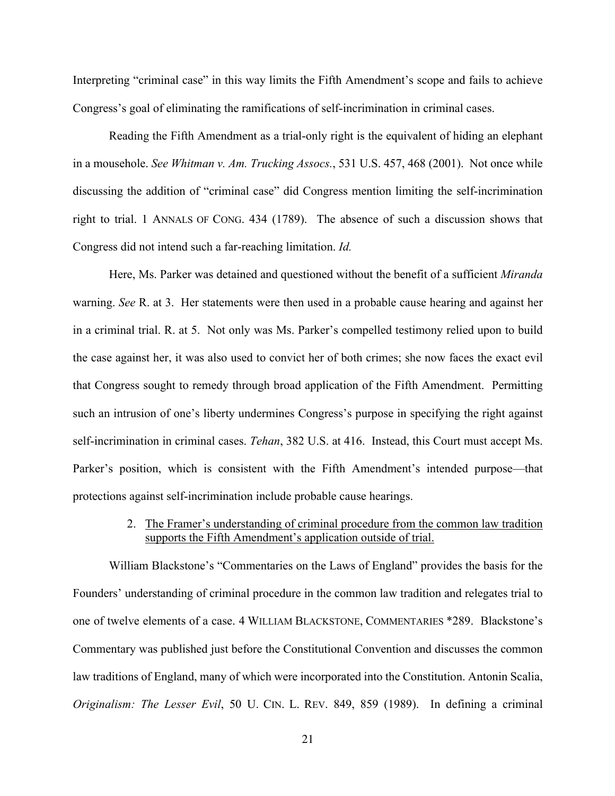Interpreting "criminal case" in this way limits the Fifth Amendment's scope and fails to achieve Congress's goal of eliminating the ramifications of self-incrimination in criminal cases.

Reading the Fifth Amendment as a trial-only right is the equivalent of hiding an elephant in a mousehole. *See Whitman v. Am. Trucking Assocs.*, 531 U.S. 457, 468 (2001). Not once while discussing the addition of "criminal case" did Congress mention limiting the self-incrimination right to trial. 1 ANNALS OF CONG. 434 (1789). The absence of such a discussion shows that Congress did not intend such a far-reaching limitation. *Id.* 

Here, Ms. Parker was detained and questioned without the benefit of a sufficient *Miranda* warning. *See* R. at 3. Her statements were then used in a probable cause hearing and against her in a criminal trial. R. at 5. Not only was Ms. Parker's compelled testimony relied upon to build the case against her, it was also used to convict her of both crimes; she now faces the exact evil that Congress sought to remedy through broad application of the Fifth Amendment. Permitting such an intrusion of one's liberty undermines Congress's purpose in specifying the right against self-incrimination in criminal cases. *Tehan*, 382 U.S. at 416. Instead, this Court must accept Ms. Parker's position, which is consistent with the Fifth Amendment's intended purpose—that protections against self-incrimination include probable cause hearings.

#### 2. The Framer's understanding of criminal procedure from the common law tradition supports the Fifth Amendment's application outside of trial.

William Blackstone's "Commentaries on the Laws of England" provides the basis for the Founders' understanding of criminal procedure in the common law tradition and relegates trial to one of twelve elements of a case. 4 WILLIAM BLACKSTONE, COMMENTARIES \*289. Blackstone's Commentary was published just before the Constitutional Convention and discusses the common law traditions of England, many of which were incorporated into the Constitution. Antonin Scalia, *Originalism: The Lesser Evil*, 50 U. CIN. L. REV. 849, 859 (1989). In defining a criminal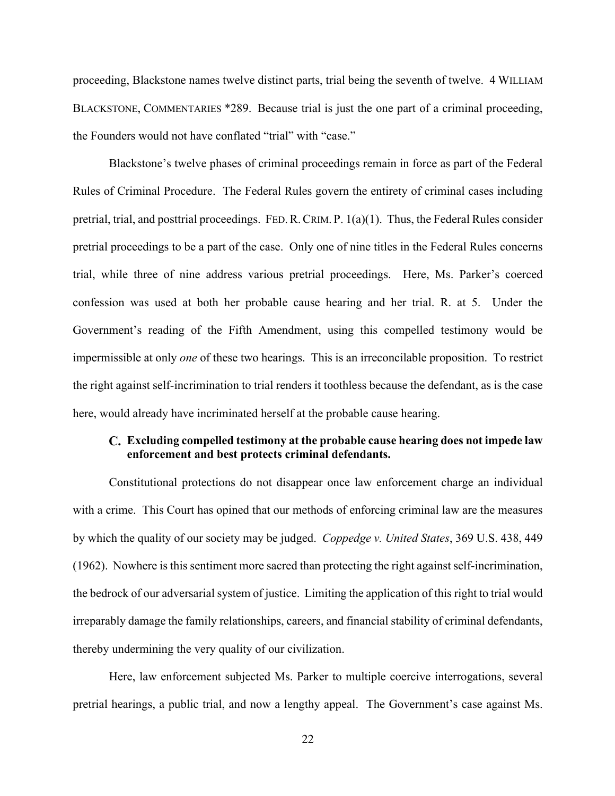proceeding, Blackstone names twelve distinct parts, trial being the seventh of twelve. 4 WILLIAM BLACKSTONE, COMMENTARIES \*289. Because trial is just the one part of a criminal proceeding, the Founders would not have conflated "trial" with "case."

Blackstone's twelve phases of criminal proceedings remain in force as part of the Federal Rules of Criminal Procedure. The Federal Rules govern the entirety of criminal cases including pretrial, trial, and posttrial proceedings. FED.R.CRIM. P. 1(a)(1). Thus, the Federal Rules consider pretrial proceedings to be a part of the case. Only one of nine titles in the Federal Rules concerns trial, while three of nine address various pretrial proceedings. Here, Ms. Parker's coerced confession was used at both her probable cause hearing and her trial. R. at 5. Under the Government's reading of the Fifth Amendment, using this compelled testimony would be impermissible at only *one* of these two hearings. This is an irreconcilable proposition. To restrict the right against self-incrimination to trial renders it toothless because the defendant, as is the case here, would already have incriminated herself at the probable cause hearing.

#### **Excluding compelled testimony at the probable cause hearing does not impede law enforcement and best protects criminal defendants.**

Constitutional protections do not disappear once law enforcement charge an individual with a crime. This Court has opined that our methods of enforcing criminal law are the measures by which the quality of our society may be judged. *Coppedge v. United States*, 369 U.S. 438, 449 (1962). Nowhere is this sentiment more sacred than protecting the right against self-incrimination, the bedrock of our adversarial system of justice. Limiting the application of this right to trial would irreparably damage the family relationships, careers, and financial stability of criminal defendants, thereby undermining the very quality of our civilization.

Here, law enforcement subjected Ms. Parker to multiple coercive interrogations, several pretrial hearings, a public trial, and now a lengthy appeal. The Government's case against Ms.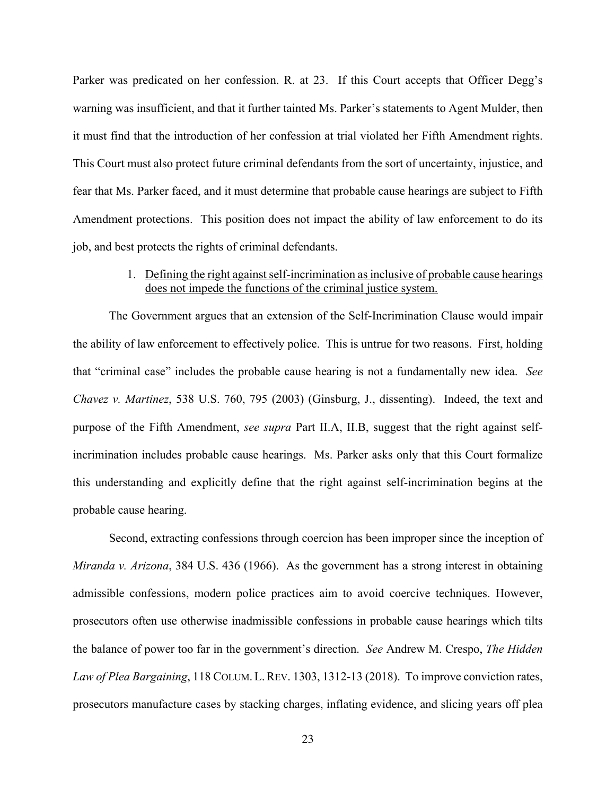Parker was predicated on her confession. R. at 23. If this Court accepts that Officer Degg's warning was insufficient, and that it further tainted Ms. Parker's statements to Agent Mulder, then it must find that the introduction of her confession at trial violated her Fifth Amendment rights. This Court must also protect future criminal defendants from the sort of uncertainty, injustice, and fear that Ms. Parker faced, and it must determine that probable cause hearings are subject to Fifth Amendment protections. This position does not impact the ability of law enforcement to do its job, and best protects the rights of criminal defendants.

#### 1. Defining the right against self-incrimination as inclusive of probable cause hearings does not impede the functions of the criminal justice system.

The Government argues that an extension of the Self-Incrimination Clause would impair the ability of law enforcement to effectively police. This is untrue for two reasons. First, holding that "criminal case" includes the probable cause hearing is not a fundamentally new idea. *See Chavez v. Martinez*, 538 U.S. 760, 795 (2003) (Ginsburg, J., dissenting). Indeed, the text and purpose of the Fifth Amendment, *see supra* Part II.A, II.B, suggest that the right against selfincrimination includes probable cause hearings. Ms. Parker asks only that this Court formalize this understanding and explicitly define that the right against self-incrimination begins at the probable cause hearing.

Second, extracting confessions through coercion has been improper since the inception of *Miranda v. Arizona*, 384 U.S. 436 (1966). As the government has a strong interest in obtaining admissible confessions, modern police practices aim to avoid coercive techniques. However, prosecutors often use otherwise inadmissible confessions in probable cause hearings which tilts the balance of power too far in the government's direction. *See* Andrew M. Crespo, *The Hidden Law of Plea Bargaining*, 118 COLUM. L.REV. 1303, 1312-13 (2018). To improve conviction rates, prosecutors manufacture cases by stacking charges, inflating evidence, and slicing years off plea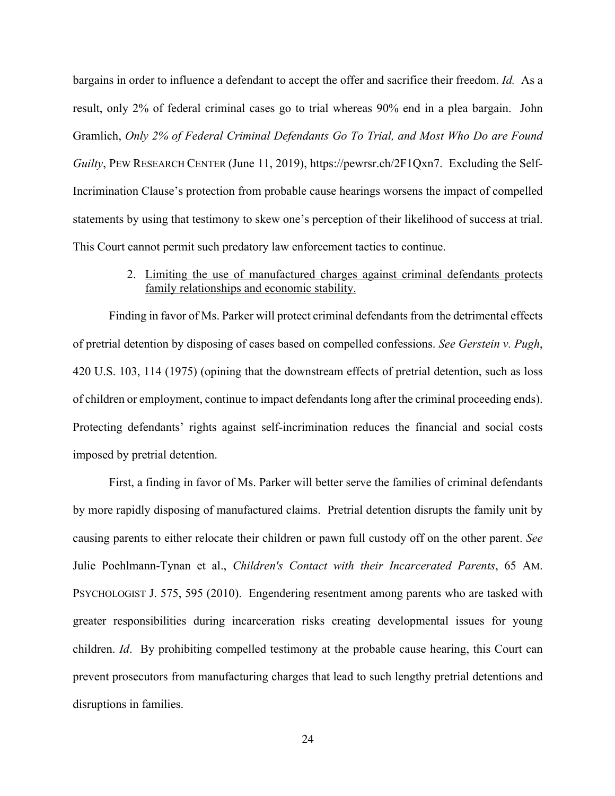bargains in order to influence a defendant to accept the offer and sacrifice their freedom. *Id.* As a result, only 2% of federal criminal cases go to trial whereas 90% end in a plea bargain. John Gramlich, *Only 2% of Federal Criminal Defendants Go To Trial, and Most Who Do are Found Guilty*, PEW RESEARCH CENTER (June 11, 2019), https://pewrsr.ch/2F1Qxn7. Excluding the Self-Incrimination Clause's protection from probable cause hearings worsens the impact of compelled statements by using that testimony to skew one's perception of their likelihood of success at trial. This Court cannot permit such predatory law enforcement tactics to continue.

#### 2. Limiting the use of manufactured charges against criminal defendants protects family relationships and economic stability.

Finding in favor of Ms. Parker will protect criminal defendants from the detrimental effects of pretrial detention by disposing of cases based on compelled confessions. *See Gerstein v. Pugh*, 420 U.S. 103, 114 (1975) (opining that the downstream effects of pretrial detention, such as loss of children or employment, continue to impact defendants long after the criminal proceeding ends). Protecting defendants' rights against self-incrimination reduces the financial and social costs imposed by pretrial detention.

First, a finding in favor of Ms. Parker will better serve the families of criminal defendants by more rapidly disposing of manufactured claims. Pretrial detention disrupts the family unit by causing parents to either relocate their children or pawn full custody off on the other parent. *See*  Julie Poehlmann-Tynan et al., *Children's Contact with their Incarcerated Parents*, 65 AM. PSYCHOLOGIST J. 575, 595 (2010). Engendering resentment among parents who are tasked with greater responsibilities during incarceration risks creating developmental issues for young children. *Id*. By prohibiting compelled testimony at the probable cause hearing, this Court can prevent prosecutors from manufacturing charges that lead to such lengthy pretrial detentions and disruptions in families.